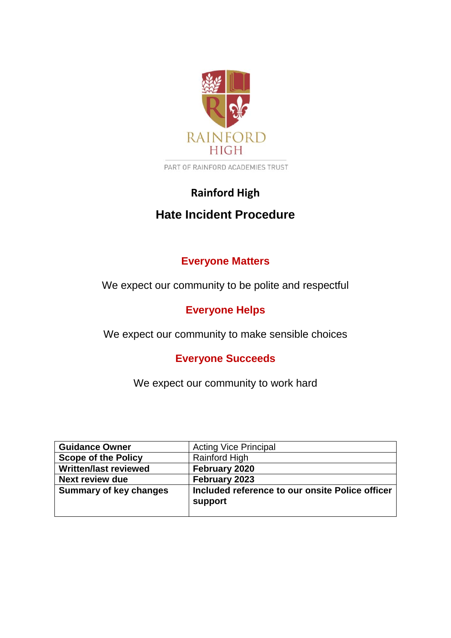

PART OF RAINFORD ACADEMIES TRUST

# **Rainford High Hate Incident Procedure**

# **Everyone Matters**

We expect our community to be polite and respectful

# **Everyone Helps**

We expect our community to make sensible choices

# **Everyone Succeeds**

We expect our community to work hard

| <b>Guidance Owner</b>         | <b>Acting Vice Principal</b>                               |
|-------------------------------|------------------------------------------------------------|
| <b>Scope of the Policy</b>    | <b>Rainford High</b>                                       |
| <b>Written/last reviewed</b>  | February 2020                                              |
| <b>Next review due</b>        | February 2023                                              |
| <b>Summary of key changes</b> | Included reference to our onsite Police officer<br>support |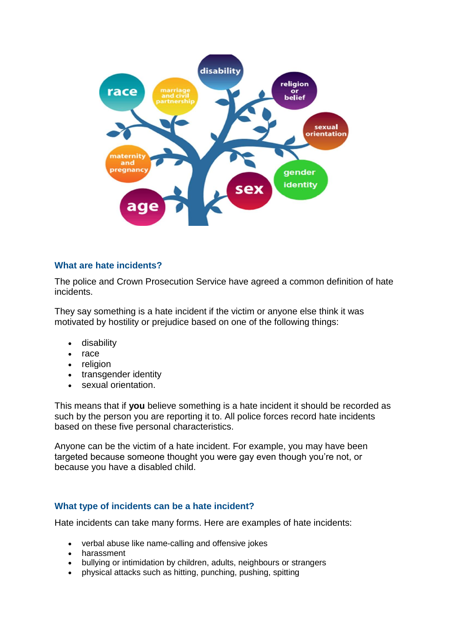

### **What are hate incidents?**

The police and Crown Prosecution Service have agreed a common definition of hate incidents.

They say something is a hate incident if the victim or anyone else think it was motivated by hostility or prejudice based on one of the following things:

- disability
- race
- religion
- transgender identity
- sexual orientation.

This means that if **you** believe something is a hate incident it should be recorded as such by the person you are reporting it to. All police forces record hate incidents based on these five personal characteristics.

Anyone can be the victim of a hate incident. For example, you may have been targeted because someone thought you were gay even though you're not, or because you have a disabled child.

## **What type of incidents can be a hate incident?**

Hate incidents can take many forms. Here are examples of hate incidents:

- verbal abuse like name-calling and offensive jokes
- harassment
- bullying or intimidation by children, adults, neighbours or strangers
- physical attacks such as hitting, punching, pushing, spitting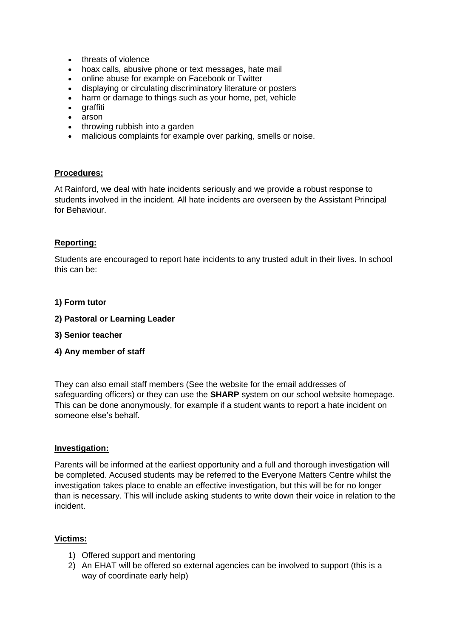- threats of violence
- hoax calls, abusive phone or text messages, hate mail
- online abuse for example on Facebook or Twitter
- displaying or circulating discriminatory literature or posters
- harm or damage to things such as your home, pet, vehicle
- graffiti
- arson
- throwing rubbish into a garden
- malicious complaints for example over parking, smells or noise.

#### **Procedures:**

At Rainford, we deal with hate incidents seriously and we provide a robust response to students involved in the incident. All hate incidents are overseen by the Assistant Principal for Behaviour.

#### **Reporting:**

Students are encouraged to report hate incidents to any trusted adult in their lives. In school this can be:

#### **1) Form tutor**

- **2) Pastoral or Learning Leader**
- **3) Senior teacher**
- **4) Any member of staff**

They can also email staff members (See the website for the email addresses of safeguarding officers) or they can use the **SHARP** system on our school website homepage. This can be done anonymously, for example if a student wants to report a hate incident on someone else's behalf.

#### **Investigation:**

Parents will be informed at the earliest opportunity and a full and thorough investigation will be completed. Accused students may be referred to the Everyone Matters Centre whilst the investigation takes place to enable an effective investigation, but this will be for no longer than is necessary. This will include asking students to write down their voice in relation to the incident.

### **Victims:**

- 1) Offered support and mentoring
- 2) An EHAT will be offered so external agencies can be involved to support (this is a way of coordinate early help)